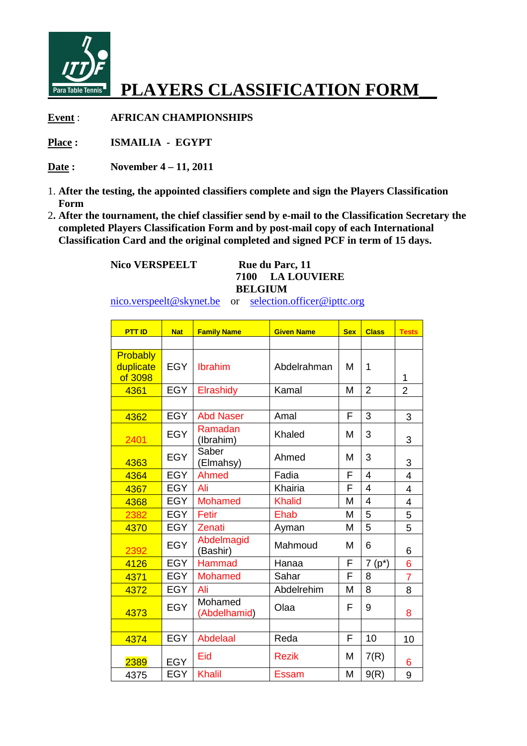

## **PLAYERS CLASSIFICATION FORM\_\_**

**Event** : **AFRICAN CHAMPIONSHIPS**

**Place : ISMAILIA - EGYPT**

**Date : November 4 – 11, 2011**

- 1. **After the testing, the appointed classifiers complete and sign the Players Classification Form**
- 2. After the tournament, the chief classifier send by e-mail to the Classification Secretary the  **completed Players Classification Form and by post post-mail copy of each International** 2. After the tournament, the chief classifier send by e-mail to the Classification Secret completed Players Classification Form and by post-mail copy of each International Classification Card and the original completed and

 **Nico VERSPEELT** 

## **Rue du Parc, 11 7100 LA LOUVIERE BELGIUM**

nico.verspeelt@skynet.be or <u>selection.officer@ipttc.org</u>

| <b>PTT ID</b>                    | <b>Nat</b> | <b>Family Name</b>      | <b>Given Name</b> | <b>Sex</b> | <b>Class</b>   | <b>Tests</b>   |
|----------------------------------|------------|-------------------------|-------------------|------------|----------------|----------------|
|                                  |            |                         |                   |            |                |                |
| Probably<br>duplicate<br>of 3098 | <b>EGY</b> | Ibrahim                 | Abdelrahman       | М          | 1              | 1              |
| 4361                             | <b>EGY</b> | Elrashidy               | Kamal             | M          | $\overline{2}$ | $\overline{2}$ |
|                                  |            |                         |                   |            |                |                |
| 4362                             | <b>EGY</b> | <b>Abd Naser</b>        | Amal              | F          | 3              | 3              |
| 2401                             | <b>EGY</b> | Ramadan<br>(Ibrahim)    | Khaled            | М          | 3              | 3              |
| 4363                             | <b>EGY</b> | Saber<br>(Elmahsy)      | Ahmed             | M          | 3              | 3              |
| 4364                             | <b>EGY</b> | Ahmed                   | Fadia             | F          | $\overline{4}$ | 4              |
| 4367                             | <b>EGY</b> | Ali                     | Khairia           | F          | $\overline{4}$ | $\overline{4}$ |
| 4368                             | <b>EGY</b> | <b>Mohamed</b>          | <b>Khalid</b>     | M          | 4              | 4              |
| 2382                             | <b>EGY</b> | Fetir                   | Ehab              | M          | 5              | 5              |
| 4370                             | <b>EGY</b> | Zenati                  | Ayman             | M          | 5              | 5              |
| 2392                             | <b>EGY</b> | Abdelmagid<br>(Bashir)  | Mahmoud           | M          | 6              | 6              |
| 4126                             | <b>EGY</b> | <b>Hammad</b>           | Hanaa             | F          | $7(p^*)$       | 6              |
| 4371                             | <b>EGY</b> | <b>Mohamed</b>          | Sahar             | F          | 8              | $\overline{7}$ |
| 4372                             | <b>EGY</b> | Ali                     | Abdelrehim        | M          | 8              | 8              |
| 4373                             | <b>EGY</b> | Mohamed<br>(Abdelhamid) | Olaa              | F          | 9              | 8              |
|                                  |            |                         |                   |            |                |                |
| 4374                             | <b>EGY</b> | <b>Abdelaal</b>         | Reda              | F          | 10             | 10             |
| 2389                             | <b>EGY</b> | Eid                     | <b>Rezik</b>      | M          | 7(R)           | 6              |
| 4375                             | <b>EGY</b> | <b>Khalil</b>           | Essam             | M          | 9(R)           | 9              |